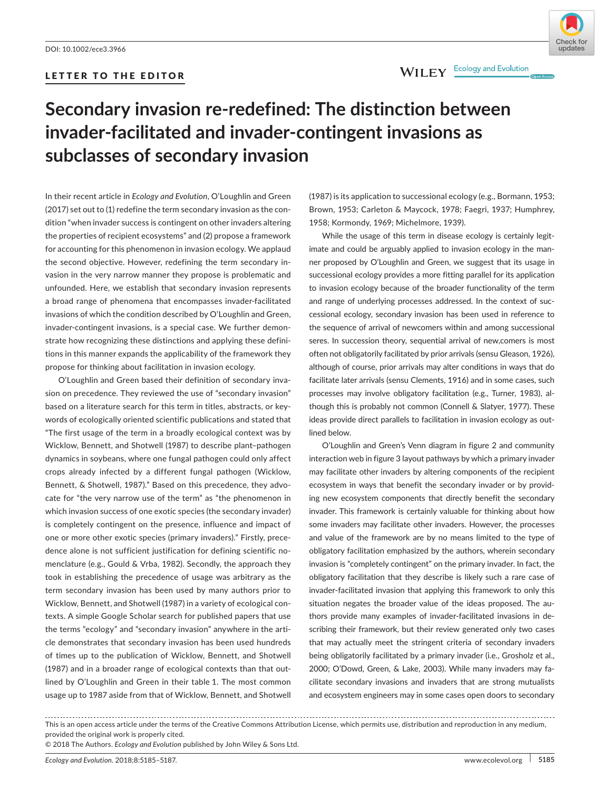# LETTER TO THE EDITOR



# **Secondary invasion re-redefined: The distinction between invader-facilitated and invader-contingent invasions as subclasses of secondary invasion**

In their recent article in *Ecology and Evolution*, O'Loughlin and Green (2017) set out to (1) redefine the term secondary invasion as the condition "when invader success is contingent on other invaders altering the properties of recipient ecosystems" and (2) propose a framework for accounting for this phenomenon in invasion ecology. We applaud the second objective. However, redefining the term secondary invasion in the very narrow manner they propose is problematic and unfounded. Here, we establish that secondary invasion represents a broad range of phenomena that encompasses invader-facilitated invasions of which the condition described by O'Loughlin and Green, invader-contingent invasions, is a special case. We further demonstrate how recognizing these distinctions and applying these definitions in this manner expands the applicability of the framework they propose for thinking about facilitation in invasion ecology.

O'Loughlin and Green based their definition of secondary invasion on precedence. They reviewed the use of "secondary invasion" based on a literature search for this term in titles, abstracts, or keywords of ecologically oriented scientific publications and stated that "The first usage of the term in a broadly ecological context was by Wicklow, Bennett, and Shotwell (1987) to describe plant–pathogen dynamics in soybeans, where one fungal pathogen could only affect crops already infected by a different fungal pathogen (Wicklow, Bennett, & Shotwell, 1987)." Based on this precedence, they advocate for "the very narrow use of the term" as "the phenomenon in which invasion success of one exotic species (the secondary invader) is completely contingent on the presence, influence and impact of one or more other exotic species (primary invaders)." Firstly, precedence alone is not sufficient justification for defining scientific nomenclature (e.g., Gould & Vrba, 1982). Secondly, the approach they took in establishing the precedence of usage was arbitrary as the term secondary invasion has been used by many authors prior to Wicklow, Bennett, and Shotwell (1987) in a variety of ecological contexts. A simple Google Scholar search for published papers that use the terms "ecology" and "secondary invasion" anywhere in the article demonstrates that secondary invasion has been used hundreds of times up to the publication of Wicklow, Bennett, and Shotwell (1987) and in a broader range of ecological contexts than that outlined by O'Loughlin and Green in their table 1. The most common usage up to 1987 aside from that of Wicklow, Bennett, and Shotwell

(1987) is its application to successional ecology (e.g., Bormann, 1953; Brown, 1953; Carleton & Maycock, 1978; Faegri, 1937; Humphrey, 1958; Kormondy, 1969; Michelmore, 1939).

While the usage of this term in disease ecology is certainly legitimate and could be arguably applied to invasion ecology in the manner proposed by O'Loughlin and Green, we suggest that its usage in successional ecology provides a more fitting parallel for its application to invasion ecology because of the broader functionality of the term and range of underlying processes addressed. In the context of successional ecology, secondary invasion has been used in reference to the sequence of arrival of newcomers within and among successional seres. In succession theory, sequential arrival of new,comers is most often not obligatorily facilitated by prior arrivals (sensu Gleason, 1926), although of course, prior arrivals may alter conditions in ways that do facilitate later arrivals (sensu Clements, 1916) and in some cases, such processes may involve obligatory facilitation (e.g., Turner, 1983), although this is probably not common (Connell & Slatyer, 1977). These ideas provide direct parallels to facilitation in invasion ecology as outlined below.

O'Loughlin and Green's Venn diagram in figure 2 and community interaction web in figure 3 layout pathways by which a primary invader may facilitate other invaders by altering components of the recipient ecosystem in ways that benefit the secondary invader or by providing new ecosystem components that directly benefit the secondary invader. This framework is certainly valuable for thinking about how some invaders may facilitate other invaders. However, the processes and value of the framework are by no means limited to the type of obligatory facilitation emphasized by the authors, wherein secondary invasion is "completely contingent" on the primary invader. In fact, the obligatory facilitation that they describe is likely such a rare case of invader-facilitated invasion that applying this framework to only this situation negates the broader value of the ideas proposed. The authors provide many examples of invader-facilitated invasions in describing their framework, but their review generated only two cases that may actually meet the stringent criteria of secondary invaders being obligatorily facilitated by a primary invader (i.e., Grosholz et al., 2000; O'Dowd, Green, & Lake, 2003). While many invaders may facilitate secondary invasions and invaders that are strong mutualists and ecosystem engineers may in some cases open doors to secondary

This is an open access article under the terms of the [Creative Commons Attribution](http://creativecommons.org/licenses/by/4.0/) License, which permits use, distribution and reproduction in any medium, provided the original work is properly cited.

<sup>© 2018</sup> The Authors. *Ecology and Evolution* published by John Wiley & Sons Ltd.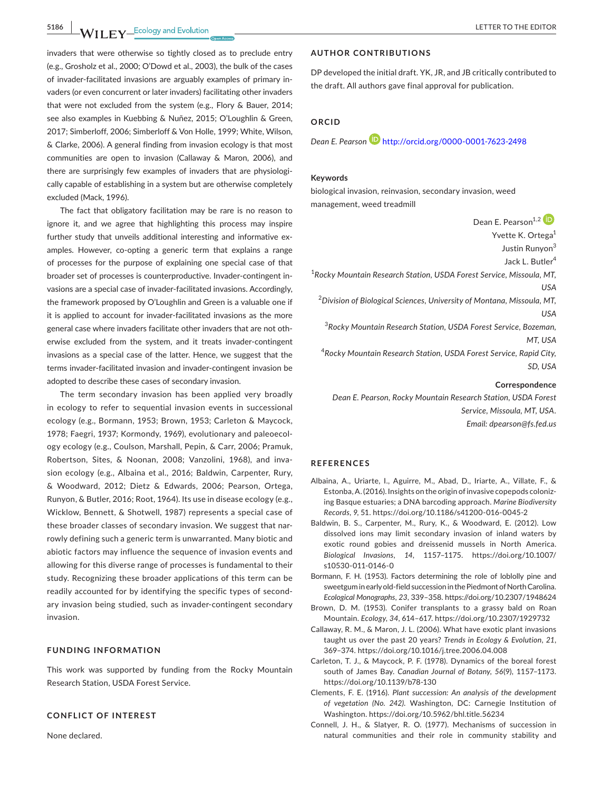**5186 A A I I EV ECOLE EXECUTER TO THE EDITOR** 

invaders that were otherwise so tightly closed as to preclude entry (e.g., Grosholz et al., 2000; O'Dowd et al., 2003), the bulk of the cases of invader-facilitated invasions are arguably examples of primary invaders (or even concurrent or later invaders) facilitating other invaders that were not excluded from the system (e.g., Flory & Bauer, 2014; see also examples in Kuebbing & Nuñez, 2015; O'Loughlin & Green, 2017; Simberloff, 2006; Simberloff & Von Holle, 1999; White, Wilson, & Clarke, 2006). A general finding from invasion ecology is that most communities are open to invasion (Callaway & Maron, 2006), and there are surprisingly few examples of invaders that are physiologically capable of establishing in a system but are otherwise completely excluded (Mack, 1996).

The fact that obligatory facilitation may be rare is no reason to ignore it, and we agree that highlighting this process may inspire further study that unveils additional interesting and informative examples. However, co-opting a generic term that explains a range of processes for the purpose of explaining one special case of that broader set of processes is counterproductive. Invader-contingent invasions are a special case of invader-facilitated invasions. Accordingly, the framework proposed by O'Loughlin and Green is a valuable one if it is applied to account for invader-facilitated invasions as the more general case where invaders facilitate other invaders that are not otherwise excluded from the system, and it treats invader-contingent invasions as a special case of the latter. Hence, we suggest that the terms invader-facilitated invasion and invader-contingent invasion be adopted to describe these cases of secondary invasion.

The term secondary invasion has been applied very broadly in ecology to refer to sequential invasion events in successional ecology (e.g., Bormann, 1953; Brown, 1953; Carleton & Maycock, 1978; Faegri, 1937; Kormondy, 1969), evolutionary and paleoecology ecology (e.g., Coulson, Marshall, Pepin, & Carr, 2006; Pramuk, Robertson, Sites, & Noonan, 2008; Vanzolini, 1968), and invasion ecology (e.g., Albaina et al., 2016; Baldwin, Carpenter, Rury, & Woodward, 2012; Dietz & Edwards, 2006; Pearson, Ortega, Runyon, & Butler, 2016; Root, 1964). Its use in disease ecology (e.g., Wicklow, Bennett, & Shotwell, 1987) represents a special case of these broader classes of secondary invasion. We suggest that narrowly defining such a generic term is unwarranted. Many biotic and abiotic factors may influence the sequence of invasion events and allowing for this diverse range of processes is fundamental to their study. Recognizing these broader applications of this term can be readily accounted for by identifying the specific types of secondary invasion being studied, such as invader-contingent secondary invasion.

## **FUNDING INFORMATION**

This work was supported by funding from the Rocky Mountain Research Station, USDA Forest Service.

### **CONFLICT OF INTEREST**

None declared.

## **AUTHOR CONTRIBUTIONS**

DP developed the initial draft. YK, JR, and JB critically contributed to the draft. All authors gave final approval for publication.

## **ORCID**

*Dean E. Pearso[n](http://orcid.org/0000-0001-7623-2498)* <http://orcid.org/0000-0001-7623-2498>

## **Keywords**

biological invasion, reinvasion, secondary invasion, weed management, weed treadmill

Dean F. Pearson<sup>1,[2](http://orcid.org/0000-0001-7623-2498)</sup> <sup>(D</sup>

Yvette K. Ortega<sup>1</sup>

Justin Runyon<sup>3</sup>

Jack L. Butler4

1 *Rocky Mountain Research Station, USDA Forest Service, Missoula, MT, USA*

2 *Division of Biological Sciences, University of Montana, Missoula, MT, USA*

3 *Rocky Mountain Research Station, USDA Forest Service, Bozeman, MT, USA*

4 *Rocky Mountain Research Station, USDA Forest Service, Rapid City, SD, USA*

### **Correspondence**

*Dean E. Pearson, Rocky Mountain Research Station, USDA Forest Service, Missoula, MT, USA. Email: [dpearson@fs.fed.us](mailto:dpearson@fs.fed.us)*

#### **REFERENCES**

- Albaina, A., Uriarte, I., Aguirre, M., Abad, D., Iriarte, A., Villate, F., & Estonba, A. (2016). Insights on the origin of invasive copepods colonizing Basque estuaries; a DNA barcoding approach. *Marine Biodiversity Records*, *9*, 51.<https://doi.org/10.1186/s41200-016-0045-2>
- Baldwin, B. S., Carpenter, M., Rury, K., & Woodward, E. (2012). Low dissolved ions may limit secondary invasion of inland waters by exotic round gobies and dreissenid mussels in North America. *Biological Invasions*, *14*, 1157–1175. [https://doi.org/10.1007/](https://doi.org/10.1007/s10530-011-0146-0) [s10530-011-0146-0](https://doi.org/10.1007/s10530-011-0146-0)
- Bormann, F. H. (1953). Factors determining the role of loblolly pine and sweetgum in early old-field succession in the Piedmont of North Carolina. *Ecological Monographs*, *23*, 339–358.<https://doi.org/10.2307/1948624>
- Brown, D. M. (1953). Conifer transplants to a grassy bald on Roan Mountain. *Ecology*, *34*, 614–617.<https://doi.org/10.2307/1929732>
- Callaway, R. M., & Maron, J. L. (2006). What have exotic plant invasions taught us over the past 20 years? *Trends in Ecology & Evolution*, *21*, 369–374.<https://doi.org/10.1016/j.tree.2006.04.008>
- Carleton, T. J., & Maycock, P. F. (1978). Dynamics of the boreal forest south of James Bay. *Canadian Journal of Botany*, *56*(9), 1157–1173. <https://doi.org/10.1139/b78-130>
- Clements, F. E. (1916). *Plant succession: An analysis of the development of vegetation (No. 242)*. Washington, DC: Carnegie Institution of Washington.<https://doi.org/10.5962/bhl.title.56234>
- Connell, J. H., & Slatyer, R. O. (1977). Mechanisms of succession in natural communities and their role in community stability and